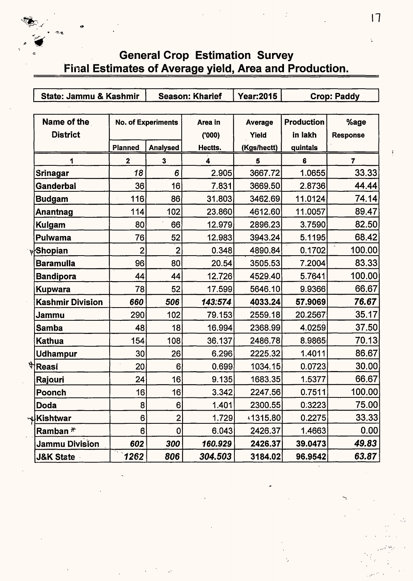## General Crop Estimation Survey Final Estimates of Average yield, Area and Production.

 $\sum_{i=1}^{n}$ 

 $\mathcal{L}$ 

|                  | State: Jammu & Kashmir         |                | <b>Season: Kharief</b>    | Year: 2015       | <b>Crop: Paddy</b>      |                              |                         |
|------------------|--------------------------------|----------------|---------------------------|------------------|-------------------------|------------------------------|-------------------------|
|                  | Name of the<br><b>District</b> |                | <b>No. of Experiments</b> | Area in<br>(000) | <b>Average</b><br>Yield | <b>Production</b><br>in lakh | %age<br><b>Response</b> |
|                  |                                | <b>Planned</b> | <b>Analysed</b>           | Hectts.          | (Kgs/hectt)             | quintals                     |                         |
|                  | 1                              | $\mathbf{2}$   | $\mathbf{3}$              | 4                | 5                       | 6                            | 7                       |
| Srinagar         |                                | 18             | 6                         | 2.905            | 3667.72                 | 1.0655                       | 33.33                   |
|                  | Ganderbal                      | 36             | 16                        | 7.831            | 3669.50                 | 2.8736                       | 44.44                   |
| Budgam           |                                | 116            | 86                        | 31.803           | 3462.69                 | 11.0124                      | 74.14                   |
|                  | Anantnag                       | 114            | 102                       | 23.860           | 4612.60                 | 11.0057                      | 89.47                   |
| <b>Kulgam</b>    |                                | 80             | 66                        | 12.979           | 2896.23                 | 3.7590                       | 82.50                   |
|                  | Pulwama                        | 76             | 52                        | 12.983           | 3943.24                 | 5.1195                       | 68.42                   |
| <b>y</b> Shopian |                                | $\mathbf{2}$   | $\overline{2}$            | 0.348            | 4890.84                 | 0.1702                       | 100.00                  |
|                  | Baramulla                      | 96             | 80                        | 20.54            | 3505.53                 | 7.2004                       | 83.33                   |
|                  | Bandipora                      | 44             | 44                        | 12.726           | 4529.40                 | 5.7641                       | 100.00                  |
|                  | Kupwara                        | 78             | 52                        | 17.599           | 5646.10                 | 9.9366                       | 66.67                   |
|                  | Kashmir Division               | 660            | 506                       | 143:574          | 4033.24                 | 57.9069                      | 76.67                   |
| Jammu            |                                | 290            | 102                       | 79.153           | 2559.18                 | 20.2567                      | 35.17                   |
| <b>Samba</b>     |                                | 48             | 18                        | 16.994           | 2368.99                 | 4.0259                       | 37.50                   |
| Kathua           |                                | 154            | 108                       | 36.137           | 2486.78                 | 8.9865                       | 70.13                   |
|                  | <b>Udhampur</b>                | 30             | 26                        | 6.296            | 2225.32                 | 1.4011                       | 86.67                   |
| पैReasi          |                                | 20             | 6 <sup>1</sup>            | 0.699            | 1034.15                 | 0.0723                       | 30.00                   |
| Rajouri          |                                | 24             | 16                        | 9.135            | 1683.35                 | 1.5377                       | 66.67                   |
| Poonch           |                                | 16             | 16                        | 3.342            | 2247.56                 | 0.7511                       | 100.00                  |
| <b>Doda</b>      |                                | 8              | 6                         | 1.401            | 2300.55                 | 0.3223                       | 75.00                   |
| ∾ูlKishtwar      |                                | 6              | $\overline{2}$            | 1.729            | 1315.80                 | 0.2275                       | 33.33                   |
|                  | Ramban $*$                     | 6              | $\mathbf{0}$              | 6.043            | 2426.37                 | 1.4663                       | 0.00                    |
|                  | <b>Jammu Division</b>          | 602            | 300                       | 160.929          | 2426.37                 | 39.0473                      | 49.83                   |
|                  | <b>J&amp;K State</b>           | 1262           | 806                       | 304.503          | 3184.02                 | 96.9542                      | 63.87                   |

11 . -~~

 $\geq$  ...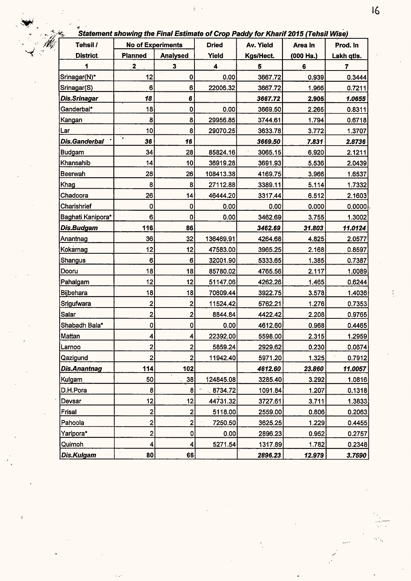-<br>Statement showing the Final Estimate of Crop Paddy for Kharif 2015 (Tehsil Wise)

 $\frac{1}{2} \left( \frac{1}{2} \right)$ 

| Tehsil /            | <b>No of Experiments</b> |                 | <b>Dried</b> | Av. Yield | , <i>, , , , , , , , , ,</i><br>Area In | Prod. In   |
|---------------------|--------------------------|-----------------|--------------|-----------|-----------------------------------------|------------|
| <b>District</b>     | <b>Planned</b>           | <b>Analysed</b> | Yield        | Kgs/Hect. | $(000$ Ha.)                             | Lakh qtls. |
| 1                   | $\mathbf 2$              | 3               | 4            | 5         | 6                                       | 7          |
| Srinagar(N)*        | 12                       | 0               | 0.00         | 3667.72   | 0.939                                   | 0.3444     |
| Srinagar(S)         | 6                        | 6               | 22006.32     | 3667.72   | 1.966                                   | 0.7211     |
| Dis.Srinagar        | 18                       | 6               |              | 3667.72   | 2.905                                   | 1.0655     |
| Ganderbal*          | 18                       | 0               | 0.00         | 3669.50   | 2.265                                   | 0.8311     |
| Kangan              | 8                        | 8               | 29956.85     | 3744.61   | 1.794                                   | 0.6718     |
| Lar                 | à.<br>10                 | 8               | 29070.25     | 3633.78   | 3.772                                   | 1.3707     |
| Dis.Ganderbal       | ٠.<br>36                 | 16              |              | 3669.50   | 7.831                                   | 2.8736     |
| Budgam              | 34                       | 28              | 85824.16     | 3065.15   | 6.920                                   | 2.1211     |
| Khansahib           | 14                       | 10              | 36919.28     | 3691.93   | 5.536                                   | 2.0439     |
| Beerwah             | 28                       | 26              | 108413.38    | 4169.75   | 3.966                                   | 1.6537     |
| Khag                | 8                        | 8               | 27112.88     | 3389.11   | 5.114                                   | 1.7332     |
| Chadoora            | 26                       | 14              | 46444.20     | 3317.44   | 6.512                                   | 2.1603     |
| Charishrief         | 0                        | 0               | 0.00         | 0.00      | 0.000                                   | 0.0000     |
| Baghati Kanipora*   | 6                        | 0               | 0.00         | 3462.69   | 3.755                                   | 1.3002     |
| Dis.Budgam          | 116                      | 86              |              | 3462.69   | 31.803                                  | 11.0124    |
| Anantnag            | 36                       | 32              | 136469.91    | 4264.68   | 4.825                                   | 2.0577     |
| Kokarnag            | 12                       | 12              | 47583.00     | 3965.25   | 2.168                                   | 0.8597     |
| Shangus             | 6                        | 6               | 32001.90     | 5333.65   | 1.385                                   | 0.7387     |
| Dooru               | 18                       | 18              | 85780.02     | 4765.56   | 2.117                                   | 1.0089     |
| Pahalgam            | 12                       | 12              | 51147.06     | 4262.26   | 1.465                                   | 0.6244     |
| Bijbehara           | 18                       | 18              | 70609.44     | 3922.75   | 3.578                                   | 1.4036     |
| Srigufwara          | 2                        | 2               | 11524.42     | 5762.21   | 1.276                                   | 0.7353     |
| Salar               | 2                        | 2               | 8844.84      | 4422.42   | 2.208                                   | 0.9765     |
| Shabadh Bala*       | 0                        | 0               | 0.00         | 4612.60   | 0.968                                   | 0.4465     |
| Mattan              | 4                        | 4               | 22392.00     | 5598.00   | 2.315                                   | 1.2959     |
| Larnoo              | $\mathbf{2}$             | $\overline{2}$  | 5859.24      | 2929.62   | 0.230                                   | 0.0674     |
| Qazigund            | $\overline{\mathbf{c}}$  | 2               | 11942.40     | 5971.20   | 1.325                                   | 0.7912     |
| <b>Dis.Anantnag</b> | 114                      | 102             |              | 4612.60   | 23.860                                  | 11.0057    |
| Kulgam              | 50                       | 38              | 124845.08    | 3285.40   | 3.292                                   | 1.0816     |
| D.H.Pora            | 8                        | 8               | 8734.72      | 1091.84   | 1.207                                   | 0.1318     |
| Devsar              | 12                       | 12              | 44731.32     | 3727.61   | 3.711                                   | 1.3833     |
| Frisal              | 2                        | 2               | 5118.00      | 2559.00   | 0.806                                   | 0.2063     |
| Pahoola             | 2                        | 2               | 7250.50      | 3625.25   | 1.229                                   | 0.4455     |
| Yaripora*           | $\overline{\mathbf{c}}$  | 0               | 0.00         | 2896.23   | 0.952                                   | 0.2757     |
| Quimoh              | 4                        | 4               | 5271.54      | 1317.89   | 1.782                                   | 0.2348     |
| <b>Dis.Kulgam</b>   | 80                       | 66              |              | 2896.23   | 12.979                                  | 3.7590     |

 $\ddot{a}$ 

 $16$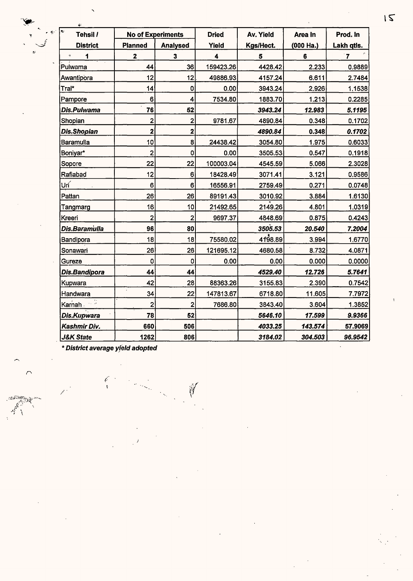| ē<br>Tehsil /        | <b>No of Experiments</b> |                         | <b>Dried</b> | Av. Yield | Area In   | Prod. In       |
|----------------------|--------------------------|-------------------------|--------------|-----------|-----------|----------------|
| <b>District</b>      | <b>Planned</b>           | <b>Analysed</b>         | Yield        | Kgs/Hect. | (000 Ha.) | Lakh qtls.     |
| 1<br>÷               | $\mathbf{2}$             | 3                       | 4            | 5         | 6         | $\overline{7}$ |
| Pulwama              | 44                       | 36                      | 159423.26    | 4428.42   | 2.233     | 0.9889         |
| Awantipora           | 12                       | 12                      | 49886.93     | 4157.24   | 6.611     | 2.7484         |
| Tral*                | 14                       | 0                       | 0.00         | 3943.24   | 2.926     | 1.1538         |
| Pampore              | 6                        | 4                       | 7534.80      | 1883.70   | 1.213     | 0.2285         |
| Dis.Pulwama          | 76                       | 52                      |              | 3943.24   | 12.983    | 5.1195         |
| Shopian              | 2                        | $\overline{2}$          | 9781.67      | 4890.84   | 0.348     | 0.1702         |
| <b>Dis.Shopian</b>   | $\overline{\mathbf{2}}$  | 2                       |              | 4890.84   | 0.348     | 0.1702         |
| Baramulla            | 10                       | 8                       | 24438.42     | 3054.80   | 1.975     | 0.6033         |
| Boniyar*             | 2                        | $\mathbf 0$             | 0.00         | 3505.53   | 0.547     | 0.1918         |
| Sopore               | 22                       | 22                      | 100003.04    | 4545.59   | 5.066     | 2.3028         |
| Rafiabad             | 12                       | 6                       | 18428.49     | 3071.41   | 3.121     | 0.9586         |
| Urí                  | 6                        | 6                       | 16556.91     | 2759.49   | 0.271     | 0.0748         |
| Pattan               | 26                       | 26                      | 89191.43     | 3010.92   | 3.884     | 1.6130         |
| Tangmarg             | 16                       | 10                      | 21492.65     | 2149.26   | 4.801     | 1.0319         |
| Kreeri               | $\overline{\mathbf{c}}$  | $\overline{\mathbf{c}}$ | 9697.37      | 4848.69   | 0.875     | 0.4243         |
| Dis.Baramulla        | 96                       | 80                      |              | 3505.53   | 20.540    | 7.2004         |
| Bandipora            | 18                       | 18                      | 75580.02     | 4198.89   | 3.994     | 1.6770         |
| Sonawari             | 26                       | 26                      | 121695.12    | 4680.58   | 8.732     | 4.0871         |
| Gureze               | $\mathbf 0$              | 0                       | 0.00         | 0.00      | 0.000     | 0.0000         |
| Dis.Bandipora        | 44                       | 44                      |              | 4529.40   | 12.726    | 5.7641         |
| Kupwara              | 42                       | 28                      | 88363.26     | 3155.83   | 2.390     | 0.7542         |
| Handwara             | 34                       | 22                      | 147813.67    | 6718.80   | 11.605    | 7.7972         |
| Karnah <sub>:</sub>  | $\overline{c}$           | 2 <sup>1</sup>          | 7686.80      | 3843.40   | 3.604     | 1.3852         |
| Dis.Kupwara          | 78                       | 52                      |              | 5646.10   | 17.599    | 9.9366         |
| Kashmir Div.         | 660                      | 506                     |              | 4033.25   | 143.574   | 57.9069        |
| <b>J&amp;K State</b> | 1262                     | 806                     |              | 3184.02   | 304.503   | 96.9542        |

ij

\* District average yfeld adopted

*(*  I

. :Mr;~,~~~::•··-

 $\overline{\bigcap}$ 

 $\mathcal{F} \rightarrow$ 

 $15$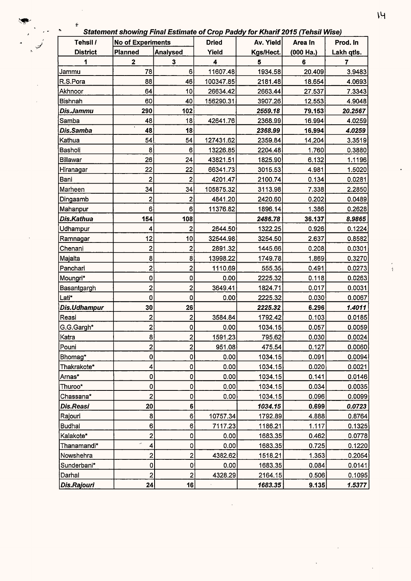### Statement showing Final Estimate of Crop Paddy for Kharif 2015 (Tehsil Wise)

 $\epsilon$ 

| Tehsil /        | <b>No of Experiments</b> |                         | <b>Dried</b> | Av. Yield | Area In     | Prod. In   |
|-----------------|--------------------------|-------------------------|--------------|-----------|-------------|------------|
| <b>District</b> | Planned                  | <b>Analysed</b>         | Yield        | Kgs/Hect. | $(000$ Ha.) | Lakh qtis. |
| 1               | $\mathbf 2$              | $\mathbf 3$             | 4            | 5         | 6           | 7          |
| Jammu           | 78                       | 6                       | 11607.48     | 1934.58   | 20.409      | 3.9483     |
| R.S.Pora        | 88                       | 46                      | 100347.85    | 2181.48   | 18.654      | 4.0693     |
| Akhnoor         | 64                       | 10                      | 26634.42     | 2663.44   | 27.537      | 7.3343     |
| <b>Bishnah</b>  | 60                       | 40                      | 156290.31    | 3907.26   | 12.553      | 4.9048     |
| Dis.Jammu       | 290                      | 102                     |              | 2559.18   | 79.153      | 20.2567    |
| Samba           | 48                       | 18                      | 42641.76     | 2368.99   | 16.994      | 4.0259     |
| Dis.Samba       | 48                       | 18                      |              | 2368.99   | 16.994      | 4.0259     |
| Kathua          | 54                       | 54                      | 127431.62    | 2359.84   | 14.204      | 3.3519     |
| Basholi         | 8                        | 6                       | 13226.85     | 2204.48   | 1.760       | 0.3880     |
| Billawar        | 26                       | 24                      | 43821.51     | 1825.90   | 6.132       | 1.1196     |
| Hiranagar       | 22                       | 22                      | 66341.73     | 3015.53   | 4.981       | 1.5020     |
| Bani            | $\overline{\mathbf{c}}$  | $\overline{2}$          | 4201.47      | 2100.74   | 0.134       | 0.0281     |
| Marheen         | 34                       | 34                      | 105875.32    | 3113.98   | 7.338       | 2.2850     |
| Dingaamb        | $\overline{c}$           | 2                       | 4841.20      | 2420.60   | 0.202       | 0.0489     |
| Mahanpur        | 6                        | 6                       | 11376.82     | 1896.14   | 1.386       | 0.2628     |
| Dis.Kathua      | 154                      | 108                     |              | 2486.78   | 36.137      | 8.9865     |
| Udhampur        | 4                        | 2                       | 2644.50      | 1322.25   | 0.926       | 0.1224     |
| Ramnagar        | 12                       | 10                      | 32544.98     | 3254.50   | 2.637       | 0.8582     |
| Chenani         | 2                        | 2                       | 2891.32      | 1445.66   | 0.208       | 0.0301     |
| Majalta         | 8                        | 8                       | 13998.22     | 1749.78   | 1.869       | 0.3270     |
| Panchari        | 2                        | 2                       | 1110.69      | 555.35    | 0.491       | 0.0273     |
| Moungri*        | 0                        | 0                       | 0.00         | 2225.32   | 0.118       | 0.0263     |
| Basantgargh     | 2                        | 2                       | 3649.41      | 1824.71   | 0.017       | 0.0031     |
| Lati*           | 0                        | 0                       | 0.00         | 2225.32   | 0.030       | 0.0067     |
| Dis.Udhampur    | 30                       | 26                      |              | 2225.32   | 6.296       | 1.4011     |
| Reasi           | 2                        | 2                       | 3584.84      | 1792.42   | 0.103       | 0.0185     |
| G.G.Gargh*      | 2                        | 0                       | 0.00         | 1034.15   | 0.057       | 0.0059     |
| Katra           | $\bf{8}$                 | $\overline{c}$          | 1591.23      | 795.62    | 0.030       | 0.0024     |
| Pouni           | $\overline{2}$           | $\overline{2}$          | 951.08       | 475.54    | 0.127       | 0.0060     |
| Bhomag*         | 0                        | $\mathsf{o}$            | 0.00         | 1034.15   | 0.091       | 0.0094     |
| Thakrakote*     | 4                        | 0                       | 0.00         | 1034.15   | 0.020       | 0.0021     |
| Arnas*          | 0                        | 0                       | 0.00         | 1034.15   | 0.141       | 0.0146     |
| Thuroo*         | 0                        | 0                       | 0.00         | 1034.15   | 0.034       | 0.0035     |
| Chassana*       | $\overline{\mathbf{c}}$  | 0                       | 0.00         | 1034.15   | 0.096       | 0.0099     |
| Dis.Reasi       | 20                       | 6                       |              | 1034.15   | 0.699       | 0.0723     |
| Rajouri         | 8                        | 6                       | 10757.34     | 1792.89   | 4.888       | 0.8764     |
| <b>Budhal</b>   | 6                        | 6                       | 7117.23      | 1186.21   | 1.117       | 0.1325     |
| Kalakote*       | $\mathbf{2}$             | 0                       | 0.00         | 1683.35   | 0.462       | 0.0778     |
| Thanamandi*     | ú<br>4                   | 0                       | 0.00         | 1683.35   | 0.725       | 0.1220     |
| Nowshehra       | $\mathbf 2$              | 2                       | 4382.62      | 1518.21   | 1.353       | 0.2054     |
| Sunderbani*     | $\pmb{0}$                | $\mathbf 0$             | 0.00         | 1683.35   | 0.084       | 0.0141     |
| Darhal          | $\overline{\mathbf{c}}$  | $\overline{\mathbf{c}}$ | 4328.29      | 2164.15   | 0.506       | 0.1095     |
| Dis.Rajouri     | 24                       | 16                      |              | 1683.35   | 9.135       | 1.5377     |

÷,

 $\frac{1}{4}$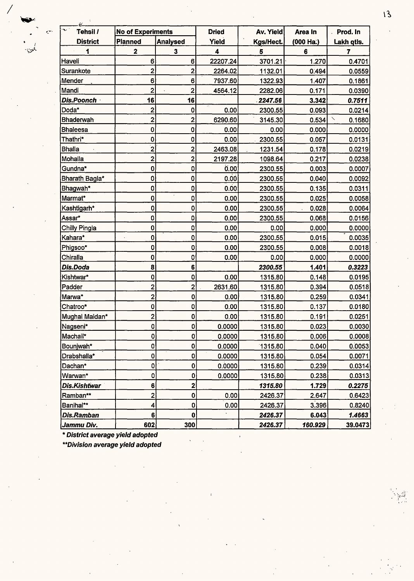| Ω.<br>se i<br>Tehsil / | <b>No of Experiments</b> |                         | <b>Dried</b> | Av. Yield | Area In     | Prod. In               |
|------------------------|--------------------------|-------------------------|--------------|-----------|-------------|------------------------|
| <b>District</b>        | <b>Planned</b>           | <b>Analysed</b>         | Yield        | Kgs/Hect. | $(000$ Ha.) | Lakh qtls.             |
| 1                      | $\overline{\mathbf{2}}$  | 3                       | 4            | 5         | 6           | 7                      |
| Haveli                 | 6                        | 6                       | 22207.24     | 3701.21   | 1.270       | 0.4701                 |
| Surankote              | 2                        | $\overline{2}$          | 2264.02      | 1132.01   | 0.494       | 0.0559                 |
| Mender                 | 6                        | 6                       | 7937.60      | 1322.93   | 1.407       | 0.1861                 |
| Mandi                  | $\overline{c}$           | $\overline{\mathbf{2}}$ | 4564.12      | 2282.06   | 0.171       | 0.0390                 |
| Dis.Poonch             | 16                       | 16                      |              | 2247.56   | 3.342       | 0.7511                 |
| Doda*                  | 2                        | 0                       | 0.00         | 2300.55   | 0.093       | 0.0214                 |
| <b>Bhaderwah</b>       | $\overline{\mathbf{c}}$  | $\overline{2}$          | 6290.60      | 3145.30   | 0.534       | $\checkmark$<br>0.1680 |
| <b>Bhaleesa</b>        | $\bf{0}$                 | $\pmb{\mathsf{O}}$      | 0.00         | 0.00      | 0.000       | 0.0000                 |
| Thathri*               | 0                        | 0                       | 0.00         | 2300.55   | 0.057       | 0.0131                 |
| <b>Bhalla</b>          | $\overline{2}$           | $\overline{\mathbf{c}}$ | 2463.08      | 1231.54   | 0.178       | 0.0219                 |
| Mohalla                | $\overline{\mathbf{c}}$  | 2                       | 2197.28      | 1098.64   | 0.217       | 0.0238                 |
| Gundna*                | 0                        | 0                       | 0.00         | 2300.55   | 0.003       | 0.0007                 |
| Bharath Bagla*         | 0                        | 0                       | 0.00         | 2300.55   | 0.040       | 0.0092                 |
| Bhagwah*               | 0                        | 0                       | 0.00         | 2300.55   | 0.135       | 0.0311                 |
| Marmat*                | 0                        | $\mathbf{0}$            | 0.00         | 2300.55   | 0.025       | 0.0058                 |
| Kashtigarh*            | 0                        | 0                       | 0.00         | 2300.55   | 0.028       | 0.0064                 |
| Assar*                 | 0                        | 0                       | 0.00         | 2300.55   | 0.068       | 0.0156                 |
| Chilly Pingla          | 0                        | 0                       | 0.00         | 0.00      | 0.000       | 0.0000                 |
| Kahara*                | $\bf{0}$                 | $\pmb{0}$               | 0.00         | 2300.55   | 0.015       | 0.0035                 |
| Phigsoo*               | 0                        | 0                       | 0.00         | 2300.55   | 0.008       | 0.0018                 |
| Chiralla               | 0                        | 0                       | 0.00         | 0.00      | 0.000       | 0.0000                 |
| Dis.Doda               | 8                        | 6                       |              | 2300.55   | 1.401       | 0.3223                 |
| Kishtwar*              | 0                        | 0                       | 0.00         | 1315.80   | 0.148       | 0.0195                 |
| Padder                 | $\overline{\mathbf{c}}$  | 2                       | 2631.60      | 1315.80   | 0.394       | 0.0518                 |
| Marwa*                 | $\overline{2}$           | $\mathbf 0$             | 0.00         | 1315.80   | 0.259       | 0.0341                 |
| Chatroo*               | 0                        | 0                       | 0.00         | 1315.80   | 0.137       | 0.0180                 |
| Mughal Maidan*         | $\overline{\mathbf{c}}$  | 0                       | 0.00         | 1315.80   | 0.191       | 0.0251                 |
| Nagseni*               | $\pmb{\mathsf{O}}$       | $\mathbf 0$             | 0.0000       | 1315.80   | 0.023       | 0.0030                 |
| Machail*               | $\mathbf 0$              | 0                       | 0.0000       | 1315.80   | 0.006       | 0.0008                 |
| Bounjwah*              | 0                        | 0                       | 0.0000       | 1315.80   | 0.040       | 0.0053                 |
| Drabshalla*            | 0                        | 0                       | 0.0000       | 1315.80   | 0.054       | 0.0071                 |
| Dachan*                | $\mathbf 0$              | 0                       | 0.0000       | 1315.80   | 0.239       | 0.0314                 |
| Warwan*                | 0                        | 0                       | 0.0000       | 1315.80   | 0.238       | 0.0313                 |
| Dis.Kishtwar           | 6                        | 2                       |              | 1315.80   | 1.729       | 0.2275                 |
| Ramban**               | $\overline{\mathbf{c}}$  | 0                       | 0.00         | 2426.37   | 2.647       | 0.6423                 |
| Banihal**              | 4                        | 0                       | 0.00         | 2426.37   | 3.396       | 0.8240                 |
| Dis.Ramban             | 6                        | $\pmb{0}$               |              | 2426.37   | 6.043       | 1.4663                 |
| Jammu Div.             | 602                      | 300                     |              | 2426.37   | 160.929     | 39.0473                |

*I* 

ċ.

)<br>بلوي.

**\*\*Division average yield adopted** 

 $13$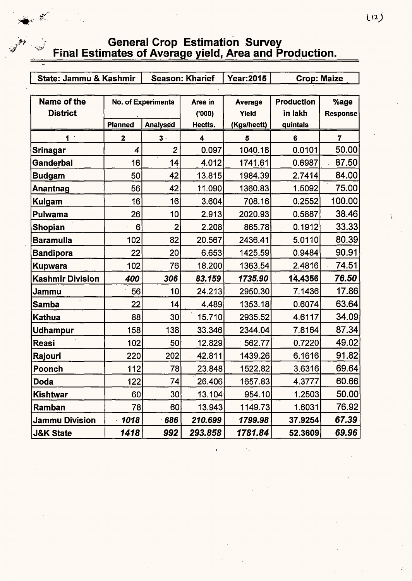#### **General Crop Estimation Survey** Final Estimates of Average yield, Area and Production.

 $\mathcal{Z}$ 

تسخنا

| State: Jammu & Kashmir  |                | <b>Season: Kharief</b>    |                         | Year:2015      | <b>Crop: Maize</b> |                 |
|-------------------------|----------------|---------------------------|-------------------------|----------------|--------------------|-----------------|
|                         |                |                           |                         |                |                    |                 |
| Name of the             |                | <b>No. of Experiments</b> | Area in                 | <b>Average</b> | <b>Production</b>  | %age            |
| <b>District</b>         |                |                           | (000)                   | Yield          | in lakh            | <b>Response</b> |
|                         | <b>Planned</b> | <b>Analysed</b>           | Hectts.                 | (Kgs/hectt)    | quintals           |                 |
| 1                       | $\mathbf{2}$   | $3 -$                     | $\overline{\mathbf{4}}$ | 5              | 6                  | $\overline{7}$  |
| Srinagar                | 4              | $\overline{2}$            | 0.097                   | 1040.18        | 0.0101             | 50.00           |
| <b>Ganderbal</b>        | 16             | 14                        | 4.012                   | 1741.61        | 0.6987             | 87.50           |
| <b>Budgam</b>           | 50             | 42                        | 13.815                  | 1984.39        | 2.7414             | 84.00           |
| Anantnag                | 56             | 42                        | 11.090                  | 1360.83        | 1.5092             | 75.00           |
| <b>Kulgam</b>           | 16             | 16                        | 3.604                   | 708.16         | 0.2552             | 100.00          |
| Pulwama                 | 26             | 10                        | 2.913                   | 2020.93        | 0.5887             | 38.46           |
| <b>Shopian</b>          | 6              | $\overline{2}$            | 2.208                   | 865.78         | 0.1912             | 33.33           |
| <b>Baramulla</b>        | 102            | 82                        | 20.567                  | 2436.41        | 5.0110             | 80.39           |
| <b>Bandipora</b>        | 22             | 20                        | 6.653                   | 1425.59        | 0.9484             | 90.91           |
| <b>Kupwara</b>          | 102            | 76                        | 18.200                  | 1363.54        | 2.4816             | 74.51           |
| <b>Kashmir Division</b> | 400            | 306                       | 83.159                  | 1735.90        | 14.4356            | 76.50           |
| Jammu                   | 56             | 10                        | 24.213                  | 2950.30        | 7.1436             | 17.86           |
| <b>Samba</b>            | 22             | 14                        | 4.489                   | 1353.18        | 0.6074             | 63.64           |
| <b>Kathua</b>           | 88             | 30                        | 15.710                  | 2935.52        | 4.6117             | 34.09           |
| <b>Udhampur</b>         | 158            | 138                       | 33.346                  | 2344.04        | 7.8164             | 87.34           |
| Reasi                   | 102            | 50                        | 12.829                  | 562.77         | 0.7220             | 49.02           |
| Rajouri                 | 220            | 202                       | 42.811                  | 1439.26        | 6.1616             | 91.82           |
| Poonch                  | 112            | 78                        | 23.848                  | 1522.82        | 3.6316             | 69.64           |
| <b>Doda</b>             | 122            | 74                        | 26.406                  | 1657.83        | 4.3777             | 60.66           |
| Kishtwar                | 60             | 30 <sup>°</sup>           | 13.104                  | 954.10         | 1.2503             | 50.00           |
| Ramban                  | 78             | 60                        | 13.943                  | 1149.73        | 1.6031             | 76.92           |
| <b>Jammu Division</b>   | 1018           | 686                       | 210.699                 | 1799.98        | 37.9254            | 67.39           |
| <b>J&amp;K State</b>    | 1418           | 992                       | 293.858                 | 1781.84        | 52.3609            | 69.96           |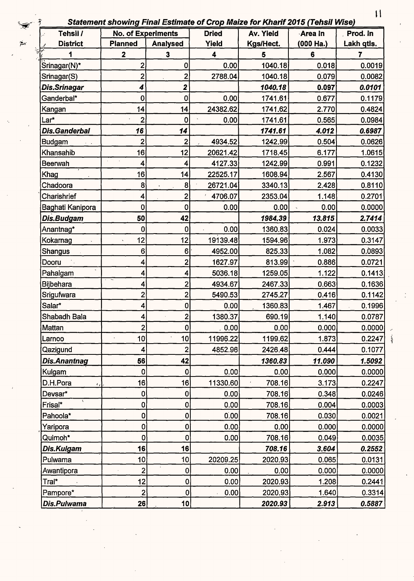ş

 $\frac{1}{2}$ 

| Tehsil /                      | <b>No. of Experiments</b> |                 | <b>Dried</b>            | Av. Yield | <b>Area In</b> | Prod. In   |
|-------------------------------|---------------------------|-----------------|-------------------------|-----------|----------------|------------|
| <b>District</b>               | <b>Planned</b>            | <b>Analysed</b> | Yield                   | Kgs/Hect. | (000 Ha.)      | Lakh qtls. |
|                               | $\mathbf 2$               | 3               | $\overline{\mathbf{4}}$ | 5         | 6              | 7          |
| Srinagar(N)*                  | $\overline{2}$            | $\mathbf 0$     | 0.00                    | 1040.18   | 0.018          | 0.0019     |
| Srinagar(S)                   | $\overline{2}$            | 2               | 2788.04                 | 1040.18   | 0.079          | 0.0082     |
| Dis.Srinagar                  | 4                         | 2               |                         | 1040.18   | 0.097          | 0.0101     |
| Ganderbal*                    | 0                         | $\mathbf 0$     | 0.00                    | 1741.61   | 0.677          | 0.1179     |
| Kangan                        | 14                        | 14              | 24382.62                | 1741.62   | 2.770          | 0.4824     |
| Lar*                          | $\overline{2}$            | $\mathbf 0$     | 0.00                    | 1741.61   | 0.565          | 0.0984     |
| <b>Dis.Ganderbal</b>          | 16                        | 14              |                         | 1741.61   | 4.012          | 0.6987     |
| <b>Budgam</b>                 | $\overline{\mathbf{c}}$   | 2               | 4934.52                 | 1242.99   | 0.504          | 0.0626     |
| Khansahib                     | 16                        | 12              | 20621.42                | 1718.45   | 6.177          | 1.0615     |
| <b>Beerwah</b>                | 4                         | 4               | 4127.33                 | 1242.99   | 0.991          | 0.1232     |
| Khag                          | 16                        | 4               | 22525.17                | 1608.94   | 2.567          | 0.4130     |
| Chadoora                      | 8                         | 8 <sup>1</sup>  | 26721.04                | 3340.13   | 2.428          | 0.8110     |
| Charishrief                   | 4                         | $\mathbf{2}$    | 4706.07                 | 2353.04   | 1.148          | 0.2701     |
| Baghati Kanipora              | 0                         | 0               | 0.00                    | 0.00      | 0.00           | 0.0000     |
| Dis.Budgam                    | 50                        | 42              |                         | 1984.39   | 13.815         | 2.7414     |
| Anantnag*                     | $\mathbf 0$               | $\mathbf 0$     | 0.00                    | 1360.83   | 0.024          | 0.0033     |
| Kokarnag<br>$\mathbf{v}$      | 12                        | 12              | 19139.48                | 1594.96   | 1.973          | 0.3147     |
| Shangus                       | 6                         | 6               | 4952.00                 | 825.33    | 1.082          | 0.0893     |
| Dooru                         | 4                         | 2               | 1627.97                 | 813.99    | 0.886          | 0.0721     |
| Pahalgam                      | 4                         | 4               | 5036.18                 | 1259.05   | 1.122          | 0.1413     |
| <b>Bijbehara</b>              | 4                         | $2^{^{\prime}}$ | 4934.67                 | 2467.33   | 0.663          | 0.1636     |
| Srigufwara                    | $\overline{2}$            | $\overline{2}$  | 5490.53                 | 2745.27   | 0.416          | 0.1142     |
| Salar*                        | 4                         | 0               | 0.00                    | 1360.83   | 1.467          | 0.1996     |
| Shabadh Bala                  | 4                         | $\mathbf{2}$    | 1380.37                 | 690.19    | 1.140          | 0.0787     |
| Mattan                        | $\overline{2}$            | $\mathbf{0}$    | .0.00                   | 0.00      | 0.000          | 0.0000     |
| Larnoo                        | 10                        | 10 <sup>1</sup> | 11996.22                | 1199.62   | 1.873          | 0.2247     |
| Qazigund                      | 4                         | $\mathbf{2}$    | 4852.96                 | 2426.48   | 0.444          | 0.1077     |
| Dis.Anantnag                  | 56                        | 42              |                         | 1360.83   | 11.090         | 1.5092     |
| Kulgam                        | 0                         | $\mathbf 0$     | 0.00                    | 0.00      | 0.000          | 0.0000     |
| D.H.Pora<br>$\epsilon_{\ell}$ | 16                        | 16              | 11330.60                | 708.16    | 3.173          | 0.2247     |
| Devsar*                       | 0                         | $\pmb{0}$       | 0.00                    | 708.16    | 0.348          | 0.0246     |
| Frisal*                       | 0                         | $\pmb{0}$       | 0.00                    | 708.16    | 0.004          | 0.0003     |
| Pahoola*                      | $\pmb{0}$                 | 0               | 0.00                    | 708.16    | 0.030          | 0.0021     |
| Yaripora                      | $\mathbf 0$               | $\overline{0}$  | 0.00                    | 0.00      | 0.000          | 0.0000     |
| Quimoh*                       | 0                         | $\bf{0}$        | 0.00                    | 708.16    | 0.049          | 0.0035     |
| Dis.Kulgam                    | 16                        | 16              |                         | 708.16    | 3.604          | 0.2552     |
| Pulwama                       | 10                        | 10              | 20209.25                | 2020.93   | 0.065          | 0.0131     |
| Awantipora                    | $\overline{2}$            | $\pmb{0}$       | 0.00                    | 0.00      | 0.000          | 0.0000     |
| Tral*                         | 12                        | $\pmb{0}$       | 0.00                    | 2020.93   | 1.208          | 0.2441     |
| Pampore*                      | $\overline{\mathbf{c}}$   | 0               | 0.00                    | 2020.93   | 1.640          | 0.3314     |
| Dis.Pulwama                   | 26                        | 10 <sub>l</sub> |                         | 2020.93   | 2.913          | 0.5887     |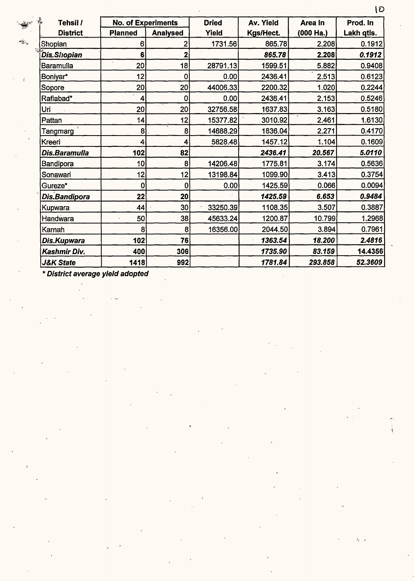| 핛<br>Tehsil /        | <b>No. of Experiments</b> |                 | <b>Dried</b> | Av. Yield | Area In   | Prod. In   |
|----------------------|---------------------------|-----------------|--------------|-----------|-----------|------------|
| <b>District</b>      | <b>Planned</b>            | <b>Analysed</b> | Yield        | Kgs/Hect. | (000 Ha.) | Lakh qtls. |
| Shopian              | 6                         | $\overline{2}$  | 1731.56      | 865.78    | 2.208     | 0.1912     |
| <b>Dis.Shopian</b>   | 6                         | 2               |              | 865.78    | 2.208     | 0.1912     |
| Baramulla            | 20                        | 18              | 28791.13     | 1599.51   | 5.882     | 0.9408     |
| Boniyar*             | 12                        | 0               | 0.00         | 2436.41   | 2.513     | 0.6123     |
| Sopore               | 20 <sup>1</sup>           | 20 <sup>1</sup> | 44006.33     | 2200.32   | 1.020     | 0.2244     |
| Rafiabad*            | 4                         | 0               | 0.00         | 2436.41   | 2.153     | 0.5246     |
| Uri                  | 20                        | 20 <sup>1</sup> | 32756.58     | 1637.83   | 3.163     | 0.5180     |
| Pattan               | 14                        | 12              | 15377.82     | 3010.92   | 2.461     | 1.6130     |
| Tangmarg             | 8                         | 8               | 14688.29     | 1836.04   | 2.271     | 0.4170     |
| Kreeri               | 4                         | 4               | 5828.48      | 1457.12   | 1.104     | 0.1609     |
| Dis.Baramulla        | 102                       | 82              |              | 2436.41   | 20.567    | 5.0110     |
| Bandipora            | 10                        | 8               | 14206.48     | 1775.81   | 3.174     | 0.5636     |
| Sonawari             | 12                        | 12              | 13198.84     | 1099.90   | 3.413     | 0.3754     |
| Gureze*              | 0                         | 0               | 0.00         | 1425.59   | 0.066     | 0.0094     |
| Dis.Bandipora        | 22                        | 20 <sub>l</sub> |              | 1425.59   | 6.653     | 0.9484     |
| Kupwara              | 44                        | 30 <sup>°</sup> | 33250.39     | 1108.35   | 3.507     | 0.3887     |
| Handwara             | 50<br>ä,                  | 38              | 45633.24     | 1200.87   | 10.799    | 1.2968     |
| Karnah               | 8                         | 8               | 16356.00     | 2044.50   | 3.894     | 0.7961     |
| Dis.Kupwara          | 102                       | 76              |              | 1363.54   | 18.200    | 2.4816     |
| Kashmir Div.         | 400                       | 306             |              | 1735.90   | 83.159    | 14.4356    |
| <b>J&amp;K State</b> | 1418                      | 992             |              | 1781.84   | 293.858   | 52.3609    |

 $\Delta_{\mathcal{B}^+}^{\mathcal{L}}$ 

lD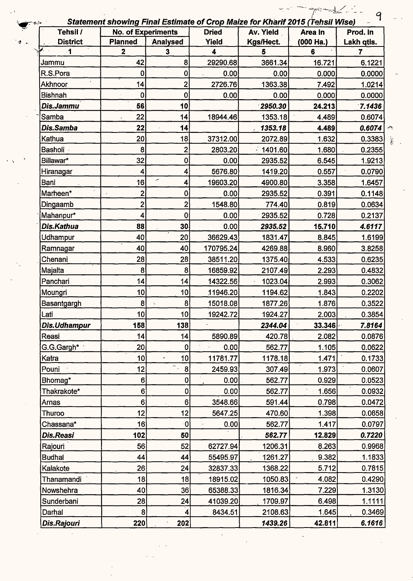| $\lambda$             |                           |                         |              | Statement showing Final Estimate of Crop Maize for Kharif 2015 (Tehsil Wise) |             |                  |
|-----------------------|---------------------------|-------------------------|--------------|------------------------------------------------------------------------------|-------------|------------------|
| Tehsil /              | <b>No. of Experiments</b> |                         | <b>Dried</b> | Av. Yield                                                                    | Area In     | Prod. In         |
| <b>District</b><br>-1 | <b>Planned</b>            | Analysed                | Yield<br>4   | Kgs/Hect.                                                                    | (000 Ha.)   | Lakh qtis.       |
|                       | $\mathbf 2$<br>42         | $\mathbf{3}$<br>8       | 29290.68     | 5<br>3661.34                                                                 | 6<br>16.721 | 7                |
| Jammu<br>R.S.Pora     | 0                         | 0                       | 0.00         | 0.00                                                                         | 0.000       | 6.1221<br>0:0000 |
| Akhnoor               | 14                        | $\overline{\mathbf{2}}$ | 2726.76      | 1363.38                                                                      | 7.492       | 1.0214           |
| <b>Bishnah</b>        | 0                         | 0                       | 0.00         | 0.00                                                                         | 0.000       | 0.0000           |
| Dis.Jammu             | 56                        | 10                      |              | 2950.30                                                                      | 24.213      | 7.1436           |
| Samba                 | 22                        | 14                      | 18944.46     | 1353.18                                                                      | 4.489       | 0.6074           |
| Dis.Samba             | 22                        | 14                      |              | 1353.18                                                                      | 4.489       | 0.6074           |
| Kathua                | 20                        | 18                      | 37312.00     | 2072.89                                                                      | 1.632       | 0.3383           |
| Basholi               | 8                         | $\overline{\mathbf{c}}$ | 2803.20      | $-1401.60$                                                                   | 1.680       | 0.2355           |
| Billawar*             | 32                        | 0                       | 0.00         | 2935.52                                                                      | 6.545       | 1.9213           |
| Hiranagar             | 4                         | $\vert \vert$           | 5676.80      | 1419.20                                                                      | 0.557       | 0.0790           |
| Bani                  | 16                        | ╭<br>4                  | 19603.20     | 4900.80                                                                      | 3.358       | 1.6457           |
| Marheen*              | $\overline{\mathbf{c}}$   | 0                       | 0.00         | 2935.52                                                                      | 0.391       | 0.1148           |
| Dingaamb              | $\overline{2}$            | 2 <sup>1</sup>          | 1548.80      | 774.40                                                                       | 0.819       | 0.0634           |
| Mahanpur*             | 4                         | $\overline{0}$          | 0.00         | 2935.52                                                                      | 0.728       | 0.2137           |
| Dis.Kathua            | 88                        | 30                      | 0.00         | 2935.52                                                                      | 15.710      | 4.6117           |
| Udhampur              | 40                        | 20                      | 36629.43     | 1831.47                                                                      | 8.845       | 1.6199           |
| Ramnagar              | 40                        | 40                      | 170795.24    | 4269.88                                                                      | 8.960       | 3.8258           |
| Chenani               | 28                        | 28                      | 38511.20     | 1375.40                                                                      | 4.533       | 0.6235           |
| Majalta               | 8                         | 8                       | 16859.92     | 2107.49                                                                      | 2.293       | 0.4832           |
| Panchari              | 14                        | 14                      | 14322.56     | 1023.04                                                                      | 2.993       | 0.3062           |
| Moungri               | 10                        | 10                      | 11946.20     | 1194.62                                                                      | 1.843       | 0.2202           |
| Basantgargh           | 8                         | $\mathbf{8}$            | 15018.08     | 1877.26                                                                      | 1.876       | 0.3522           |
| Lati                  | 10 <sub>l</sub>           | 10 <sub>l</sub>         | 19242.72     | 1924.27                                                                      | 2.003       | 0.3854           |
| Dis.Udhampur          | 158                       | 138                     |              | 2344.04                                                                      | 33.346      | 7.8164           |
| Reasi                 | 14                        | 14                      | 5890.89      | 420.78                                                                       | 2.082       | 0.0876           |
| G.G.Gargh*            | 20 <sub>1</sub>           | 0                       | 0.00         | 562.77                                                                       | 1.105       | 0.0622           |
| Katra                 | 10 <sup>°</sup>           | 10 <sup>1</sup><br>×    | 11781.77     | 1178.18                                                                      | 1.471       | 0.1733           |
| Pouni                 | 12 <sub>5</sub>           | -<br> 8 <br>$\epsilon$  | 2459.93      | 307.49                                                                       | 1.973       | 0.0607           |
| Bhomag*               | 6                         | $\mathbf{0}$            | 0.00         | 562.77                                                                       | 0.929       | 0.0523           |
| Thakrakote*           | 6                         | $\mathbf{0}$            | 0.00         | 562.77                                                                       | 1.656       | 0.0932           |
| Arnas                 | 6                         | 6 <sup>1</sup>          | 3548.66      | 591.44                                                                       | 0.798       | 0.0472           |
| Thuroo                | 12                        | 12                      | 5647.25      | 470.60                                                                       | 1.398       | 0.0658           |
| Chassana*             | 16                        | $\cdot$ O               | 0.00         | 562.77                                                                       | 1.417       | 0.0797           |
| Dis.Reasi             | 102                       | 50                      |              | 562.77                                                                       | 12.829      | 0.7220           |
| Rajouri               | 56                        | 52                      | 62727.94     | 1206.31                                                                      | 8.263       | 0.9968           |
| <b>Budhal</b>         | 44                        | 44                      | 55495.97     | 1261.27                                                                      | 9.382       | 1.1833           |
| Kalakote              | 26                        | 24                      | 32837.33     | 1368.22                                                                      | 5.712       | 0.7815           |
| Thanamandi            | 18                        | 18                      | 18915.02     | 1050.83                                                                      | 4.082       | 0.4290           |
| Nowshehra             | 40                        | 36                      | 65388.33     | 1816.34                                                                      | 7.229       | 1.3130           |
| Sunderbani            | 28                        | 24                      | 41039.20     | 1709.97                                                                      | 6.498       | 1.1111           |
| Darhal                | 8                         | $\vert 4 \vert$         | 8434.51      | 2108.63                                                                      | 1.645       | 0.3469           |
| Dis.Rajouri           | 220                       | 202                     |              | 1439.26                                                                      | 42.811      | 6.1616           |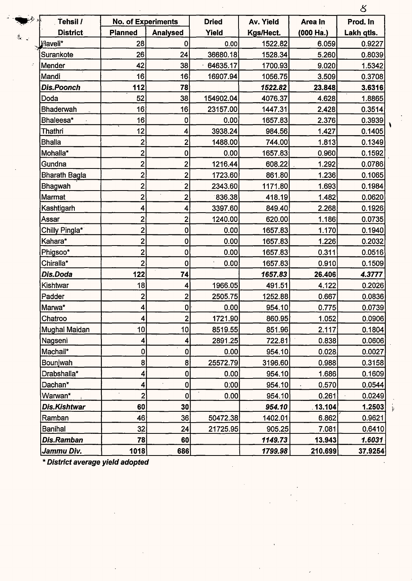|                      |                           |                 |              |           |             | 8          |
|----------------------|---------------------------|-----------------|--------------|-----------|-------------|------------|
| ناه خرمو<br>Tehsil / | <b>No. of Experiments</b> |                 | <b>Dried</b> | Av. Yield | Area In     | Prod. In   |
| <b>District</b>      | <b>Planned</b>            | <b>Analysed</b> | Yield        | Kgs/Hect. | $(000$ Ha.) | Lakh qtls. |
| Flaveli*             | 28                        | 0               | 0.00         | 1522.82   | 6.059       | 0.9227     |
| Surankote            | 26                        | 24              | 36680.18     | 1528.34   | 5.260       | 0.8039     |
| Mender               | 42                        | 38              | 64635.17     | 1700.93   | 9.020       | 1.5342     |
| Mandi                | 16                        | 16              | 16907.94     | 1056.75   | 3.509       | 0.3708     |
| <b>Dis.Poonch</b>    | 112                       | 78              |              | 1522.82   | 23.848      | 3.6316     |
| Doda                 | 52                        | 38              | 154902.04    | 4076.37   | 4.628       | 1.8865     |
| <b>Bhaderwah</b>     | 16                        | 16              | 23157.00     | 1447.31   | 2.428       | 0.3514     |
| Bhaleesa*            | 16                        | 0               | 0.00         | 1657.83   | 2.376       | 0.3939     |
| <b>Thathri</b>       | 12                        | 4               | 3938.24      | 984.56    | 1.427       | 0.1405     |
| <b>Bhalla</b>        | $\mathbf{2}$              | $\overline{2}$  | 1488.00      | 744.00    | 1.813       | 0.1349     |
| Mohalla*             | $\overline{\mathbf{c}}$   | 0               | 0.00         | 1657.83   | 0.960       | 0.1592     |
| Gundna               | $\overline{\mathbf{2}}$   | $\overline{2}$  | 1216.44      | 608.22    | 1.292       | 0.0786     |
| <b>Bharath Bagla</b> | $\overline{\mathbf{c}}$   | $\overline{c}$  | 1723.60      | 861.80    | 1.236       | 0.1065     |
| <b>Bhagwah</b>       | $\mathbf{2}$              | $\overline{c}$  | 2343.60      | 1171.80   | 1.693       | 0.1984     |
| Marmat               | $\overline{2}$            | $\overline{2}$  | 836.38       | 418.19    | 1.482       | 0.0620     |
| Kashtigarh           | $\overline{\mathbf{4}}$   | 4               | 3397.60      | 849.40    | 2.268       | 0.1926     |
| Assar                | $\mathbf{2}$              | $\overline{2}$  | 1240.00      | 620.00    | 1.186       | 0.0735     |
| Chilly Pingla*       | $\overline{\mathbf{c}}$   | $\bf{0}$        | 0.00         | 1657.83   | 1.170       | 0.1940     |
| Kahara*              | $\overline{\mathbf{2}}$   | 0               | 0.00         | 1657.83   | 1.226       | 0.2032     |
| Phigsoo*             | $\overline{2}$            | $\bf{0}$        | 0.00         | 1657.83   | 0.311       | 0.0516     |
| Chiralla*            | $\overline{2}$            | $\mathbf 0$     | 0.00         | 1657.83   | 0.910       | 0.1509     |
| Dis.Doda             | 122                       | 74              |              | 1657.83   | 26.406      | 4.3777     |
| Kishtwar             | 18                        | 4               | 1966.05      | 491.51    | 4.122       | 0.2026     |
| Padder               | $\overline{\mathbf{c}}$   | $\overline{2}$  | 2505.75      | 1252.88   | 0.667       | 0.0836     |
| Marwa*               | $\overline{\mathbf{4}}$   | ΩI              | 0.00         | 954.10    | 0.775       | 0.0739     |
| Chatroo              | 4                         | $\overline{2}$  | 1721.90      | 860.95    | 1.052       | 0.0906     |
| Mughal Maidan        | 10                        | 10 <sup>1</sup> | 8519.55      | 851.96    | 2.117       | 0.1804     |
| Nagseni              | $\boldsymbol{4}$          | 4               | 2891.25      | 722.81    | 0.838       | 0.0606     |
| Machail*             | 0                         | $\pmb{0}$       | 0.00         | 954.10    | 0.028       | 0.0027     |
| Bounjwah             | 8                         | 8 <sup>1</sup>  | 25572.79     | 3196.60   | 0.988       | 0.3158     |
| Drabshalla*          | $\overline{\mathbf{4}}$   | 0               | 0.00         | 954.10    | 1.686       | 0.1609     |
| Dachan*              | 4                         | 0               | 0:00         | 954.10    | 0.570       | 0.0544     |
| Warwan*              | $\mathbf{2}$              | 0               | 0.00         | 954.10    | 0.261       | 0.0249     |
| Dis.Kishtwar         | 60                        | 30              |              | 954.10    | 13.104      | 1.2503     |
| Ramban               | 46                        | 36              | 50472.38     | 1402.01   | 6.862       | 0.9621     |
| <b>Banihal</b>       | 32                        | 24              | 21725.95     | 905.25    | 7.081       | 0.6410     |
| <b>Dis.Ramban</b>    | 78                        | 60              |              | 1149.73   | 13.943      | 1.6031     |
| Jammu Div.           | 1018                      | 686             |              | 1799.98   | 210,699     | 37.9254    |

 $\mathcal{G}_\omega$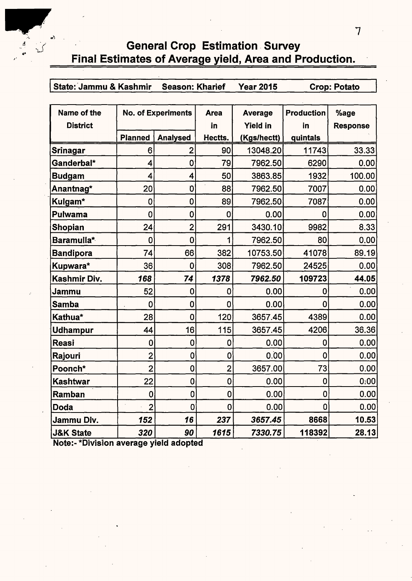## General Crop Estimation. Survey Final Estimates of Average yield, Area and Production.

| State: Jammu & Kashmir Season: Kharief | <b>Year 2015</b> | <b>Crop: Potato</b> |
|----------------------------------------|------------------|---------------------|

| Name of the          |                | <b>No. of Experiments</b> | <b>Area</b>    | Average         | <b>Production</b> | %age            |
|----------------------|----------------|---------------------------|----------------|-----------------|-------------------|-----------------|
| <b>District</b>      |                |                           | in             | <b>Yield in</b> | in                | <b>Response</b> |
|                      | <b>Planned</b> | <b>Analysed</b>           | Hectts.        | (Kgs/hectt)     | quintals          |                 |
| Srinagar             | 6              | 2                         | 90             | 13048.20        | 11743             | 33.33           |
| Ganderbal*           | 4              | 0                         | 79             | 7962.50         | 6290              | 0.00            |
| <b>Budgam</b>        | 4              | 4                         | 50             | 3863.85         | 1932              | 100.00          |
| Anantnag*            | 20             | $\mathbf 0$               | $\cdot$<br>88  | 7962.50         | 7007              | 0.00            |
| Kulgam*              | $\mathbf 0$    | $\mathbf 0$               | 89             | 7962.50         | 7087              | 0.00            |
| <b>Pulwama</b>       | $\mathbf 0$    | $\mathbf 0$               | 0              | 0.00            | 0                 | 0.00            |
| <b>Shopian</b>       | 24             | $\overline{2}$            | 291            | 3430.10         | 9982              | 8.33            |
| Baramulla*           | 0              | $\mathbf 0$               | 1              | 7962.50         | 80                | 0.00            |
| <b>Bandipora</b>     | 74             | 66                        | 382            | 10753.50        | 41078             | 89.19           |
| Kupwara*             | 36             | 0                         | 308            | 7962.50         | 24525             | 0.00            |
| Kashmir Div.         | 168            | 74                        | 1378           | 7962.50         | 109723            | 44.05           |
| Jammu                | 52             | 0                         | 0              | 0.00            | 0                 | 0.00            |
| <b>Samba</b>         | $\mathbf 0$    | $\overline{0}$            | 0              | 0.00            | 0                 | 0.00            |
| Kathua*              | 28             | $\overline{0}$            | 120            | 3657.45         | 4389              | 0.00            |
| <b>Udhampur</b>      | 44             | 16                        | 115            | 3657.45         | 4206              | 36.36           |
| Reasi                | 0              | $\mathbf 0$               | 0              | 0.00            | 0                 | 0.00            |
| Rajouri              | $\overline{2}$ | $\mathbf 0$               | 0              | 0.00            | $\mathbf 0$       | 0.00            |
| Poonch*              | $\overline{2}$ | $\mathbf 0$               | $\overline{2}$ | 3657.00         | 73                | 0.00            |
| Kashtwar             | 22             | $\mathbf 0$               | 0              | 0.00            | 0                 | 0:00            |
| <b>Ramban</b>        | $\overline{0}$ | $\overline{0}$            | 0              | 0.00            | $\mathbf 0$       | 0.00            |
| Doda                 | $\overline{2}$ | $\overline{0}$            | $\overline{0}$ | 0.00            | 0                 | 0.00            |
| Jammu Div.           | 152            | 16                        | 237            | 3657.45         | 8668              | 10.53           |
| <b>J&amp;K State</b> | 320            | 90                        | 1615           | 7330.75         | 118392            | 28.13           |

Note:- \*Division average yield adopted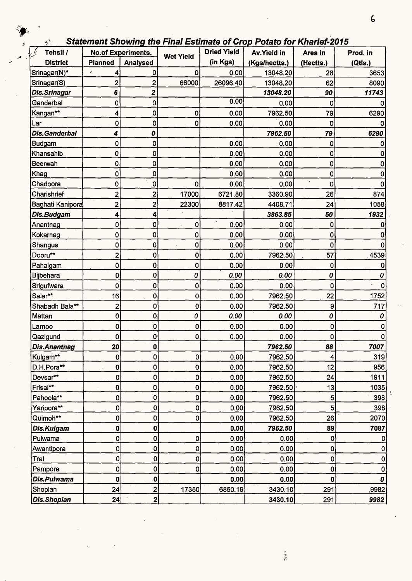| <b>Statement Showing the Final Estimate of Crop Potato for Kharief-2015</b> |  |  |
|-----------------------------------------------------------------------------|--|--|
|                                                                             |  |  |

| Tehsil /             |                         | <b>No.of Experiments.</b> | <b>Wet Yield</b> | <b>Dried Yield</b> | <b>Av.Yield in</b> | Area in                   | Prod. in |
|----------------------|-------------------------|---------------------------|------------------|--------------------|--------------------|---------------------------|----------|
| <b>District</b>      | <b>Planned</b>          | <b>Analysed</b>           |                  | (in Kgs)           | (Kgs/hectts.)      | (Hectts.)                 | (Qtls.)  |
| Srinagar(N)*         | $\pmb{\jmath}$<br>4     | 0                         | 0                | 0.00               | 13048.20           | 28                        | 3653     |
| Srinagar(S)          | 2                       | 2                         | 66000            | 26096.40           | 13048.20           | 62                        | 8090     |
| Dis.Srinagar         | 6                       | $\overline{\mathbf{2}}$   |                  |                    | 13048.20           | 90                        | 11743    |
| Ganderbal            | 0                       | 0                         |                  | 0.00               | 0.00               | 0                         |          |
| Kangan**             | 4                       | 0                         | 0                | 0.00               | 7962.50            | 79                        | 6290     |
| Lar                  | 0                       | 0                         | 0                | 0.00               | 0.00               | 0                         |          |
| <b>Dis.Ganderbal</b> | 4                       | 0                         |                  |                    | 7962.50            | 79                        | 6290     |
| <b>Budgam</b>        | 0                       | 0                         |                  | 0.00               | 0.00               | $\bf{0}$                  | 0        |
| Khansahib            | 0                       | 0                         |                  | 0.00               | 0.00               | 0                         | 0        |
| Beerwah              | 0                       | 0                         |                  | 0.00               | 0.00               | 0                         | 0        |
| Khag                 | 0                       | 0                         |                  | 0.00               | 0.00               | 0                         | 0        |
| Chadoora             | 0                       | 0                         | 0                | 0.00               | 0.00               | 0                         |          |
| Charishrief          | $\overline{\mathbf{c}}$ | 2                         | 17000            | 6721.80            | 3360.90            | 26                        | 874      |
| Baghati Kanipora     | $\overline{2}$          | 2                         | 22300            | 8817.42            | 4408.71            | 24                        | 1058     |
| Dis.Budgam           | 4                       | 4                         |                  |                    | 3863.85            | 50                        | 1932     |
| Anantnag             | 0                       | 0                         | 0                | 0.00               | 0.00               | 0                         | Ω        |
| Kokarnag             | 0                       | 0                         | 0                | 0.00               | 0.00               | $\mathbf 0$               | 0        |
| Shangus              | 0                       | 0                         | 0                | 0.00               | 0.00               | 0                         | 0        |
| Dooru**              | 2                       | 0                         | 0                | 0.00               | 7962.50            | 57                        | 4539     |
| Pahalgam             | 0                       | 0                         | 0                | 0.00               | 0.00               | 0                         | n        |
| <b>Bijbehara</b>     | 0                       | 0                         | 0                | 0.00               | 0.00               | 0                         | 0        |
| Srigufwara           | 0                       | 0                         | 0                | 0.00               | 0.00               | 0                         | 0        |
| Salar**              | 16                      | $\bf{0}$                  | 0                | 0.00               | 7962.50            | 22                        | 1752     |
| Shabadh Bala**       | 2                       | 0                         | 0                | 0.00               | 7962.50            | 9                         | 717      |
| Mattan               | 0                       | 0                         | 0                | 0.00               | 0.00               | 0                         | 0        |
| Larnoo               | 0                       | 0                         | 0                | 0.00               | 0.00               | 0                         | 0        |
| Qazigund             | $\mathbf{Q}$            | U)                        | $\mathbf 0$      | 0.00               | 0.00               | <sub>0</sub>              | υ        |
| Dis.Anantnag         | 20 <sub>2</sub>         | 0                         |                  |                    | 7962.50            | 88                        | 7007     |
| Kulgam**             | 0                       | $\pmb{0}$                 | 0                | 0.00               | 7962.50            | 4                         | 319      |
| D.H.Pora**           | 0                       | $\mathbf 0$               | 0                | 0.00               | 7962.50            | 12                        | 956      |
| Devsar**             | 0                       | $\pmb{0}$                 | 0                | 0.00               | 7962.50            | 24                        | 1911     |
| Frisal**             | 0                       | $\overline{0}$            | 0                | 0.00               | 7962,50            | 13                        | 1035     |
| Pahoola**            | 0                       | 0                         | 0                | 0.00               | 7962.50            | 5                         | 398      |
| Yaripora**           | 0                       | 0                         | 0                | 0.00               | 7962.50            | 5 <sup>1</sup>            | 398      |
| Quimoh**             | $\mathbf{0}$            | 0                         | 0                | 0.00               | 7962.50            | 26                        | 2070     |
| Dis.Kulgam           | $\pmb{0}$               | 0                         |                  | 0.00               | 7962.50            | 89                        | 7087     |
| Pulwama              | 0                       | 0                         | 0                | 0.00               | 0.00               | $\mathbf{0}^{\mathsf{I}}$ | 0        |
| Awantipora           | 0                       | 0                         | $\mathbf 0$      | 0.00               | 0.00               | $\mathbf{0}$              | 0        |
| Tral                 | $\mathbf{0}$            | O                         | 0                | 0.00               | 0.00               | 0                         | 0        |
| Pampore              | 0                       | 0                         | 0                | 0.00               | 0.00               | $\mathbf{0}$              | 0        |
| Dis.Pulwama          | $\mathbf 0$             | 0                         |                  | 0.00               | 0.00               | 0                         | 0        |
|                      |                         |                           | 17350            |                    |                    |                           |          |
| Shopian              | 24                      | $\overline{2}$            |                  | 6860.19            | 3430.10            | 291                       | ,9982    |

 $\frac{1}{2}$ 

 $\frac{1}{2}$ 

 $25\,\mathrm{A}$  s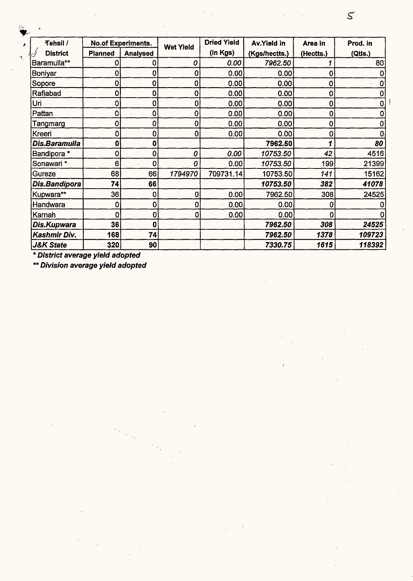| Tehsil /                |                | <b>No.of Experiments.</b> | <b>Wet Yield</b> | <b>Dried Yield</b> | Av.Yield in   | Area in     | Prod. in    |  |
|-------------------------|----------------|---------------------------|------------------|--------------------|---------------|-------------|-------------|--|
| <b>District</b><br>أثوى | <b>Planned</b> | <b>Analysed</b>           |                  | (in Kgs)           | (Kgs/hectts.) | (Hectts.)   | (Qtls.)     |  |
| Baramulla**             | 0              | 0                         | 0                | 0.00               | 7962.50       |             | 80          |  |
| Boniyar                 | $\bf{0}$       | 0                         | 0                | 0.00               | 0.00          | 0           | 0           |  |
| Sopore                  | $\mathbf 0$    | 0                         | 0                | 0.00               | 0.00          | 0           | $\mathbf 0$ |  |
| Rafiabad                | $\mathbf 0$    | 0                         | 0                | 0.00               | 0.00          | 0           | $\mathbf 0$ |  |
| Uri                     | $\mathbf 0$    | 0                         | 0                | 0.00               | 0.00          | $\mathbf 0$ | $\mathbf 0$ |  |
| Pattan                  | $\mathbf 0$    | 0                         | 0                | 0.00               | 0.00          | 0           | $\mathbf 0$ |  |
| Tangmarg                | $\bf{0}$       | 0                         | O                | 0.00               | 0.00          | 0           | $\mathbf 0$ |  |
| Kreeri                  | $\mathbf 0$    | 0                         | 0                | 0.00               | 0.00          | 0           | $\bf{0}$    |  |
| Dis.Baramulla           | $\mathbf 0$    | 0                         |                  |                    | 7962.50       |             | 80          |  |
| Bandipora *             | $\mathbf 0$    | 0                         | 0                | 0.00               | 10753.50      | 42          | 4516        |  |
| Sonawari *              | 6              | 0                         | 0                | 0.00               | 10753.50      | 199         | 21399       |  |
| Gureze                  | 68             | 66                        | 1794970          | 709731.14          | 10753.50      | 141         | 15162       |  |
| Dis.Bandipora           | 74             | 66                        |                  |                    | 10753.50      | 382         | 41078       |  |
| Kupwara**               | 36             | 0                         | 0                | 0.00               | 7962.50       | 308         | 24525       |  |
| Handwara                | 0              | $\mathbf 0$               | 0                | 0.00               | 0.00          | 0           | 0           |  |
| Karnah                  | $\mathbf 0$    | $\bf{0}$                  | 0                | 0.00               | 0.00          | 0           | 0           |  |
| Dis.Kupwara             | 36             | 0                         |                  |                    | 7962.50       | 308         | 24525       |  |
| Kashmir Div.            | 168            | 74                        |                  |                    | 7962.50       | 1378        | 109723      |  |
| <b>J&amp;K State</b>    | 320            | 90                        |                  |                    | 7330.75       | 1615        | 118392      |  |

\*\* Division average yield adopted

 $\mathcal{S}$ 

 $\frac{8}{3}$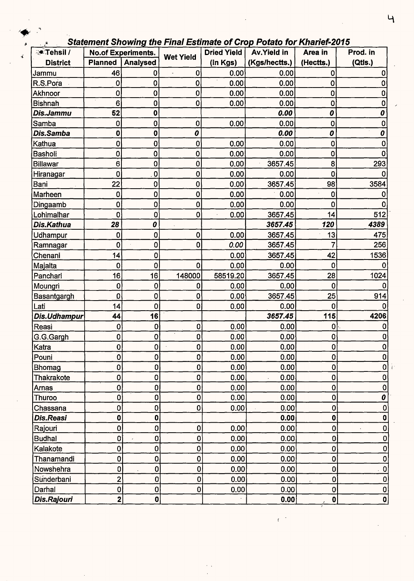|  |  |  |  | <b>Statement Showing the Final Estimate of Crop Potato for Kharief-2015</b> |
|--|--|--|--|-----------------------------------------------------------------------------|
|--|--|--|--|-----------------------------------------------------------------------------|

| २● Tehsil /<br><b>No.of Experiments.</b> |                         |                         |                  | <b>Dried Yield</b> | Av.Yield in   | Area in          | Prod. in     |  |
|------------------------------------------|-------------------------|-------------------------|------------------|--------------------|---------------|------------------|--------------|--|
| <b>District</b>                          | <b>Planned</b>          | <b>Analysed</b>         | <b>Wet Yield</b> | (in Kgs)           | (Kgs/hectts.) | (Hectts.)        | (Qtls.)      |  |
| Jammu                                    | 46                      | 0                       | 0                | 0.00               | 0.00          | $\bf{0}$         |              |  |
| R.S.Pora                                 | $\mathbf 0$             | 0                       | 0                | 0.00               | 0.00          | 0                | 0            |  |
| Akhnoor                                  | $\mathbf 0$             | 0                       | $\bf{0}$         | 0.00               | 0.00          | $\mathbf 0$      | 0            |  |
| <b>Bishnah</b>                           | 6                       | 0                       | 0                | 0.00               | 0.00          | $\mathbf 0$      | 0            |  |
| Dis.Jammu                                | 52                      | 0                       |                  |                    | 0.00          | 0                | 0            |  |
| Samba                                    | 0                       | 0                       | $\mathbf 0$      | 0.00               | 0.00          | $\mathbf 0$      | 0            |  |
| Dis.Samba                                | 0                       | $\mathbf 0$             | 0                |                    | 0.00          | 0                | 0            |  |
| Kathua                                   | 0                       | 0                       | 0                | 0.00               | 0.00          | $\mathbf 0$      |              |  |
| Basholi                                  | 0                       | 0                       | 0                | 0.00               | 0.00          | $\mathbf 0$      | O            |  |
| <b>Billawar</b>                          | 6                       | 0                       | $\pmb{0}$        | 0.00               | 3657.45       | 8                | 293          |  |
| Hiranagar                                | 0                       | $\overline{\mathbf{0}}$ | 0                | 0.00               | 0.00          | 0                |              |  |
| Bani                                     | 22                      | $\mathbf 0$             | $\pmb{0}$        | 0.00               | 3657.45       | 98               | 3584         |  |
| Marheen                                  | 0                       | 0                       | 0                | 0.00               | 0.00          | 0                |              |  |
| Dingaamb                                 | 0                       | $\mathbf 0$             | 0                | 0.00               | 0.00          | $\boldsymbol{0}$ |              |  |
| Lohimalhar                               | 0                       | $\mathbf 0$             | 0                | 0.00               | 3657.45       | 14               | 512          |  |
| Dis.Kathua                               | 28                      | 0                       |                  |                    | 3657.45       | 120              | 4389         |  |
| Udhampur                                 | 0                       | 0                       | 0                | 0.00               | 3657.45       | 13               | 475          |  |
| Ramnagar                                 | 0                       | $\mathbf 0$             | 0                | 0.00               | 3657.45       | 7                | 256          |  |
| Chenani                                  | 14                      | $\mathbf 0$             |                  | 0.00               | 3657.45       | 42               | 1536         |  |
| Majalta                                  | 0                       | $\mathbf 0$             | $\mathbf 0$      | 0.00               | 0.00          | 0                |              |  |
| Panchari                                 | 16                      | 16                      | 148000           | 58519.20           | 3657.45       | 28               | 1024         |  |
| Moungri                                  | 0                       | $\bf{0}$                | 0                | 0.00               | 0.00          | 0                |              |  |
| Basantgargh                              | O                       | $\mathbf 0$             | 0                | 0.00               | 3657.45       | 25               | 914          |  |
| Lati                                     | 14                      | $\mathbf 0$             | $\bf{0}$         | 0.00               | 0.00          | 0                |              |  |
| Dis.Udhampur                             | 44                      | 16                      |                  |                    | 3657.45       | 115              | 4206         |  |
| Reasi                                    | 0                       | $\mathbf 0$             | $\mathbf 0$      | 0.00               | 0.00          | 0                |              |  |
| G.G.Gargh                                | 0                       | $\mathbf 0$             | 0                | 0.00               | 0.00          | 0                |              |  |
| Katra                                    | $\mathbf{0}$            | 0                       | $\bf{0}$         | 0.00               | 0.00          | 0                |              |  |
| Pouni                                    | 0                       | $\mathbf 0$             | 0                | 0.00               | 0.00          | 0                | 0            |  |
| <b>Bhomag</b>                            | 0                       | $\mathbf 0$             | 0                | 0.00               | 0.00          | 0                | 0            |  |
| Thakrakote                               | 0                       | $\mathbf 0$             | 0                | 0.00               | 0.00          | $\mathbf 0$      | 0            |  |
| Arnas                                    | 0                       | $\mathbf 0$             | 0                | 0.00               | 0.00          | 0                | 0            |  |
| Thuroo                                   | $\mathbf{0}$            | $\mathbf 0$             | $\mathbf 0$      | 0.00               | 0.00          | $\mathbf 0$      | 0            |  |
| Chassana                                 | 0                       | $\mathbf{0}$            | 0                | 0.00               | 0.00          | 0                | 0            |  |
| Dis.Reasi                                | 0                       | $\pmb{0}$               |                  |                    | 0.00          | 0                | 0            |  |
| Rajouri                                  | $\mathbf 0$             | $\mathbf 0$             | 0                | 0.00               | 0.00          | 0                | 0            |  |
| <b>Budhal</b>                            | $\mathbf{0}$            | $\mathbf{0}$            | 0                | 0.00               | 0.00          | 0                | 0            |  |
| Kalakote                                 | 0                       | $\pmb{0}$               | 0                | 0.00               | 0.00          | 0                | 0            |  |
| Thanamandi                               | 0                       | $\mathbf{0}$            | 0                | 0.00               | 0.00          | 0                | 0            |  |
| Nowshehra                                | 0                       | $\pmb{0}$               | 0                | 0.00               | 0.00          | $\mathbf 0$      | Ò            |  |
| Sunderbani                               | 2                       | 0                       | $\mathbf 0$      | 0.00               | 0.00          | $\mathbf 0$      | 0            |  |
| Darhal                                   | $\mathbf{O}$            | $\mathbf{0}$            | $\pmb{0}$        | 0.00               | 0.00          | 0                | $\mathbf{0}$ |  |
| Dis.Rajouri                              | $\overline{\mathbf{2}}$ | $\mathbf{0}$            |                  |                    | 0.00          | 0                | 0            |  |

ŧ.

 $\overline{4}$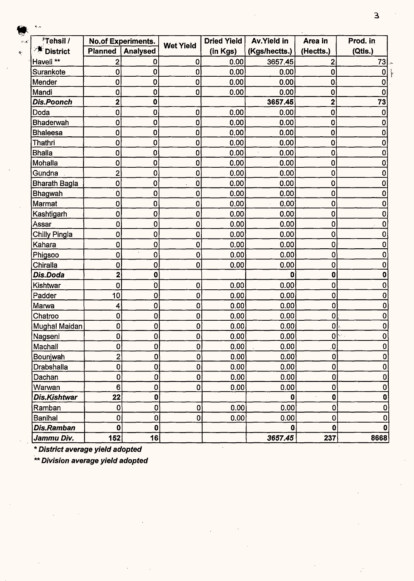| <i><b>'Tehsil /</b></i> |                         | <b>No.of Experiments.</b> | <b>Wet Yield</b> | <b>Dried Yield</b> | Av.Yield in   | Area in                 | Prod. in    |
|-------------------------|-------------------------|---------------------------|------------------|--------------------|---------------|-------------------------|-------------|
| <b>District</b>         | <b>Planned</b>          | Analysed                  |                  | (in Kgs)           | (Kgs/hectts.) | (Hectts.)               | (Qtis.)     |
| Haveli **               | 2                       | 0                         | 0                | 0.00               | 3657.45       | $\mathbf{2}$            | 73          |
| Surankote               | $\mathbf{0}$            | $\bf{0}$                  | 0                | 0.00               | 0.00          | $\mathbf 0$             | $\mathbf 0$ |
| Mender                  | $\mathbf 0$             | $\mathbf 0$               | $\mathbf 0$      | 0.00               | 0.00          | $\mathbf 0$             | 0           |
| Mandi                   | 0                       | 0                         | 0                | 0.00               | 0.00          | $\mathbf 0$             | 0           |
| <b>Dis.Poonch</b>       | $\overline{\mathbf{2}}$ | 0                         |                  |                    | 3657.45       | $\overline{\mathbf{2}}$ | 73          |
| Doda                    | $\mathbf 0$             | 0                         | 0                | 0.00               | 0.00          | $\mathbf 0$             | 0           |
| Bhaderwah               | 0                       | 0                         | 0                | 0.00               | 0.00          | $\mathbf 0$             | 0           |
| <b>Bhaleesa</b>         | $\overline{0}$          | 0                         | 0                | 0.00               | 0.00          | $\bf{0}$                | 0           |
| Thathri                 | $\mathbf 0$             | 0                         | 0                | 0.00               | 0.00          | 0                       | 0           |
| <b>Bhalla</b>           | $\mathbf{0}$            | 0                         | 0                | 0.00               | 0.00          | 0                       | 0           |
| Mohalla                 | 0                       | 0                         | 0                | 0.00               | 0.00          | 0                       | 0           |
| Gundna                  | $\mathbf{2}^{\prime}$   | 0                         | 0                | 0.00               | 0.00          | 0                       | 0           |
| <b>Bharath Bagla</b>    | 0                       | 0                         | 0                | 0.00               | 0.00          | $\mathbf 0$             | 0           |
| <b>Bhagwah</b>          | $\bf{0}$                | 0                         | 0                | 0.00               | 0.00          | $\mathbf 0$             | 0           |
| Marmat                  | 0                       | 0                         | 0                | 0.00               | 0.00          | 0                       | 0           |
| Kashtigarh              | $\mathbf 0$             | $\mathbf 0$               | 0                | 0.00               | 0.00          | $\mathbf 0$             |             |
| Assar                   | $\mathbf 0$             | $\mathbf 0$               | $\mathbf 0$      | 0.00               | 0.00          | 0                       | 0           |
| Chilly Pingla           | $\mathbf 0$             | $\pmb{0}$                 | $\mathbf 0$      | 0.00               | 0.00          | 0                       |             |
| Kahara                  | $\mathbf 0$             | $\bf{0}$                  | $\mathbf 0$      | 0.00               | 0.00          | 0                       | Ω           |
| Phigsoo                 | $\mathbf 0$             | $\pmb{0}$                 | 0                | 0.00               | 0.00          | $\mathbf 0$             |             |
| Chiralla                | $\mathbf 0$             | $\mathbf 0$               | 0                | 0.00               | 0.00          | 0                       | 0           |
| Dis.Doda                | $\overline{\mathbf{2}}$ | $\mathbf 0$               |                  |                    | 0             | $\mathbf 0$             |             |
| Kishtwar                | $\mathbf 0$             | 0                         | 0                | 0.00               | 0.00          | 0                       | 0           |
| Padder                  | 10                      | $\mathbf 0$               | 0                | 0.00               | 0.00          | $\mathbf 0$             |             |
| Marwa                   | $\overline{\mathbf{4}}$ | $\pmb{0}$                 | $\mathbf 0$      | 0.00               | 0.00          | 0                       | Ω           |
| Chatroo                 | $\mathbf 0$             | 0                         | $\mathbf 0$      | 0.00               | 0.00          | 0                       |             |
| Mughal Maidan           | $\mathbf 0$             | 0                         | $\mathbf 0$      | 0.00               | 0.00          | 0                       | 0           |
| Nagseni                 | $\mathbf 0$             | $\mathbf 0$               | $\mathbf 0$      | 0.00               | 0.00          |                         | 0<br>0      |
| Machail                 | $\bf{0}$                | $\mathbf{0}$              | $\pmb{0}$        | 0.00               | 0.00          | $\mathbf{0}$            | 0           |
| Bounjwah                | $\overline{\mathbf{2}}$ | $\mathbf{O}$              | $\mathbf{0}$     | 0.00               | 0.00          | $\mathbf 0$             | 0           |
| Drabshalla              | $\overline{0}$          | $\bf{0}$                  | $\mathbf 0$      | 0.00               | 0.00          | $\pmb{0}$               | 0           |
| Dachan                  | 0                       | 0                         | $\mathbf 0$      | 0.00               | 0.00          | 0                       | 0           |
| Warwan                  | $6\phantom{a}$          | 0                         | $\bf{0}$         | 0.00               | 0.00          | 0                       | 0           |
| Dis.Kishtwar            | 22                      | 0                         |                  |                    | $\mathbf{0}$  | $\mathbf 0$             | $\mathbf 0$ |
| Ramban                  | 0                       | 0                         | $\bf{0}$         | 0.00               | 0.00          | 0                       | 0           |
| <b>Banihal</b>          | $\mathbf 0$             | $\overline{0}$            | $\overline{0}$   | 0.00               | 0.00          | $\mathbf 0$             | 0           |
| Dis.Ramban              | $\mathbf 0$             | $\mathbf 0$               |                  |                    | 0             | $\mathbf 0$             | 0           |
| Jammu Div.              | 152                     | 16                        |                  |                    | 3657.45       | 237                     | 8668        |

\*\* **Division average yield adopted**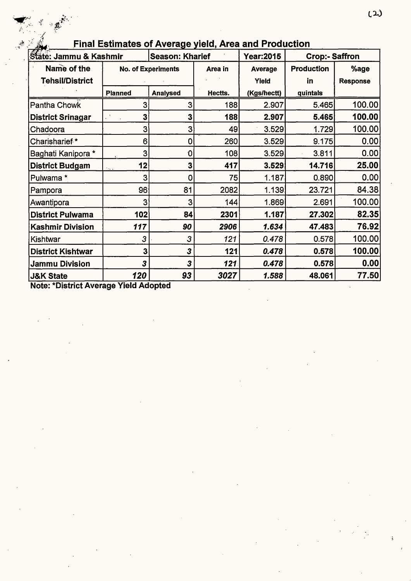| State: Jammu & Kashmir                                        |                | <b>Season: Kharief</b>    |         | <b>Year:2015</b> | <b>Crop:- Saffron</b> |                 |
|---------------------------------------------------------------|----------------|---------------------------|---------|------------------|-----------------------|-----------------|
| Name of the                                                   |                | <b>No. of Experiments</b> | Area in | Average          | <b>Production</b>     | %age            |
| <b>Tehsil/District</b>                                        |                |                           |         | Yield            | in                    | <b>Response</b> |
|                                                               | <b>Planned</b> | <b>Analysed</b>           | Hectts. | (Kgs/hectt)      | quintals              |                 |
| Pantha Chowk                                                  | 3              | 3                         | 188     | 2.907            | 5.465                 | 100.00          |
| <b>District Srinagar</b>                                      | 3              | 3                         | 188     | 2.907            | 5.465                 | 100.00          |
| Chadoora                                                      | 3              | 3                         | 49      | 3.529            | 1.729                 | 100.00          |
| Charisharief*                                                 | 6              | 0                         | 260     | 3.529            | 9.175                 | 0.00            |
| Baghati Kanipora *                                            | 3              | 0                         | 108     | 3.529            | 3.811                 | 0.00            |
| <b>District Budgam</b>                                        | 12             | 3                         | 417     | 3.529            | 14.716                | 25.00           |
| Pulwama *                                                     | 3              | 0                         | 75      | 1.187            | 0.890                 | 0.00            |
| Pampora                                                       | 96             | 81                        | 2082    | 1.139            | 23.721                | 84.38           |
| Awantipora                                                    | 3              | 3                         | 144     | 1.869            | 2.691                 | 100.00          |
| <b>District Pulwama</b>                                       | 102            | 84                        | 2301    | 1.187            | 27.302                | 82.35           |
| <b>Kashmir Division</b>                                       | 117            | 90                        | 2906    | 1.634            | 47.483                | 76.92           |
| Kishtwar                                                      | 3              | 3                         | 121     | 0.478            | 0.578                 | 100.00          |
| <b>District Kishtwar</b>                                      | 3              | 3                         | 121     | 0.478            | 0.578                 | 100.00          |
| Jammu Division                                                | 3              | 3                         | 121     | 0.478            | 0.578                 | 0.00            |
| <b>J&amp;K State</b><br>Nato: *Diotriot Average Viold Adamted | 120            | 93                        | 3027    | 1.588            | 48.061                | 77.50           |

# **Final Estimates of Average yield, Area and Production**<br>Read Linux & Keshmin Becases Kharist J. Youn0045

Note: \*District Average Yield Adopted

The Contract